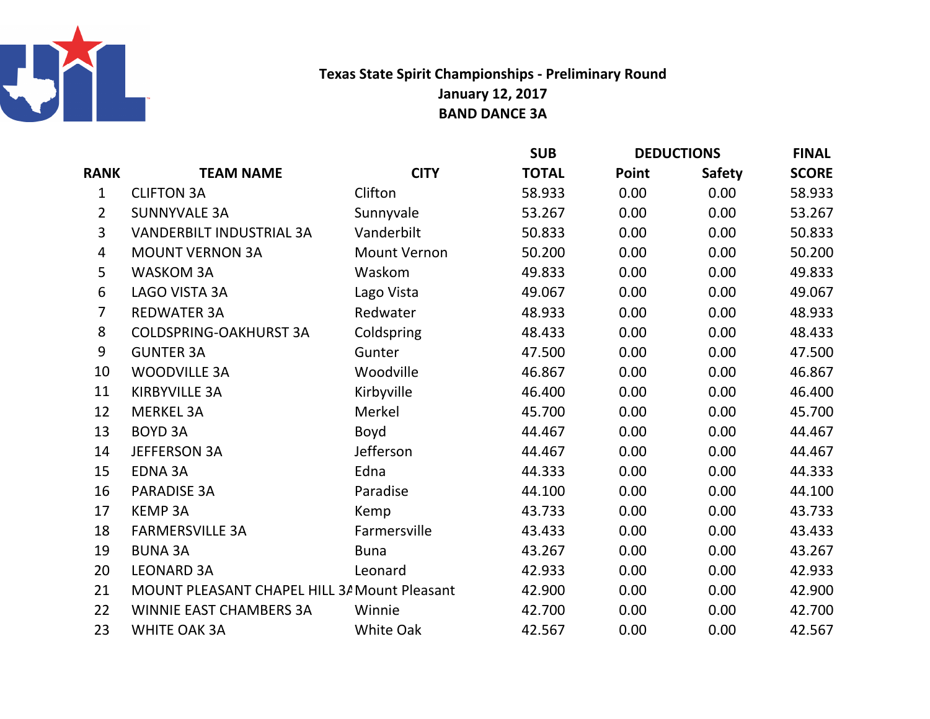

## Texas State Spirit Championships - Preliminary RoundJanuary 12, 2017BAND DANCE 3A

|                |                                              |                     | <b>SUB</b>   | <b>DEDUCTIONS</b> |               | <b>FINAL</b> |
|----------------|----------------------------------------------|---------------------|--------------|-------------------|---------------|--------------|
| <b>RANK</b>    | <b>TEAM NAME</b>                             | <b>CITY</b>         | <b>TOTAL</b> | Point             | <b>Safety</b> | <b>SCORE</b> |
| $\mathbf{1}$   | <b>CLIFTON 3A</b>                            | Clifton             | 58.933       | 0.00              | 0.00          | 58.933       |
| $\overline{2}$ | <b>SUNNYVALE 3A</b>                          | Sunnyvale           | 53.267       | 0.00              | 0.00          | 53.267       |
| 3              | <b>VANDERBILT INDUSTRIAL 3A</b>              | Vanderbilt          | 50.833       | 0.00              | 0.00          | 50.833       |
| 4              | <b>MOUNT VERNON 3A</b>                       | <b>Mount Vernon</b> | 50.200       | 0.00              | 0.00          | 50.200       |
| 5              | <b>WASKOM 3A</b>                             | Waskom              | 49.833       | 0.00              | 0.00          | 49.833       |
| 6              | <b>LAGO VISTA 3A</b>                         | Lago Vista          | 49.067       | 0.00              | 0.00          | 49.067       |
| $\overline{7}$ | <b>REDWATER 3A</b>                           | Redwater            | 48.933       | 0.00              | 0.00          | 48.933       |
| 8              | <b>COLDSPRING-OAKHURST 3A</b>                | Coldspring          | 48.433       | 0.00              | 0.00          | 48.433       |
| 9              | <b>GUNTER 3A</b>                             | Gunter              | 47.500       | 0.00              | 0.00          | 47.500       |
| 10             | <b>WOODVILLE 3A</b>                          | Woodville           | 46.867       | 0.00              | 0.00          | 46.867       |
| 11             | <b>KIRBYVILLE 3A</b>                         | Kirbyville          | 46.400       | 0.00              | 0.00          | 46.400       |
| 12             | <b>MERKEL 3A</b>                             | Merkel              | 45.700       | 0.00              | 0.00          | 45.700       |
| 13             | <b>BOYD 3A</b>                               | Boyd                | 44.467       | 0.00              | 0.00          | 44.467       |
| 14             | <b>JEFFERSON 3A</b>                          | Jefferson           | 44.467       | 0.00              | 0.00          | 44.467       |
| 15             | <b>EDNA 3A</b>                               | Edna                | 44.333       | 0.00              | 0.00          | 44.333       |
| 16             | <b>PARADISE 3A</b>                           | Paradise            | 44.100       | 0.00              | 0.00          | 44.100       |
| 17             | <b>KEMP 3A</b>                               | Kemp                | 43.733       | 0.00              | 0.00          | 43.733       |
| 18             | <b>FARMERSVILLE 3A</b>                       | Farmersville        | 43.433       | 0.00              | 0.00          | 43.433       |
| 19             | <b>BUNA 3A</b>                               | <b>Buna</b>         | 43.267       | 0.00              | 0.00          | 43.267       |
| 20             | <b>LEONARD 3A</b>                            | Leonard             | 42.933       | 0.00              | 0.00          | 42.933       |
| 21             | MOUNT PLEASANT CHAPEL HILL 3/ Mount Pleasant |                     | 42.900       | 0.00              | 0.00          | 42.900       |
| 22             | WINNIE EAST CHAMBERS 3A                      | Winnie              | 42.700       | 0.00              | 0.00          | 42.700       |
| 23             | <b>WHITE OAK 3A</b>                          | White Oak           | 42.567       | 0.00              | 0.00          | 42.567       |
|                |                                              |                     |              |                   |               |              |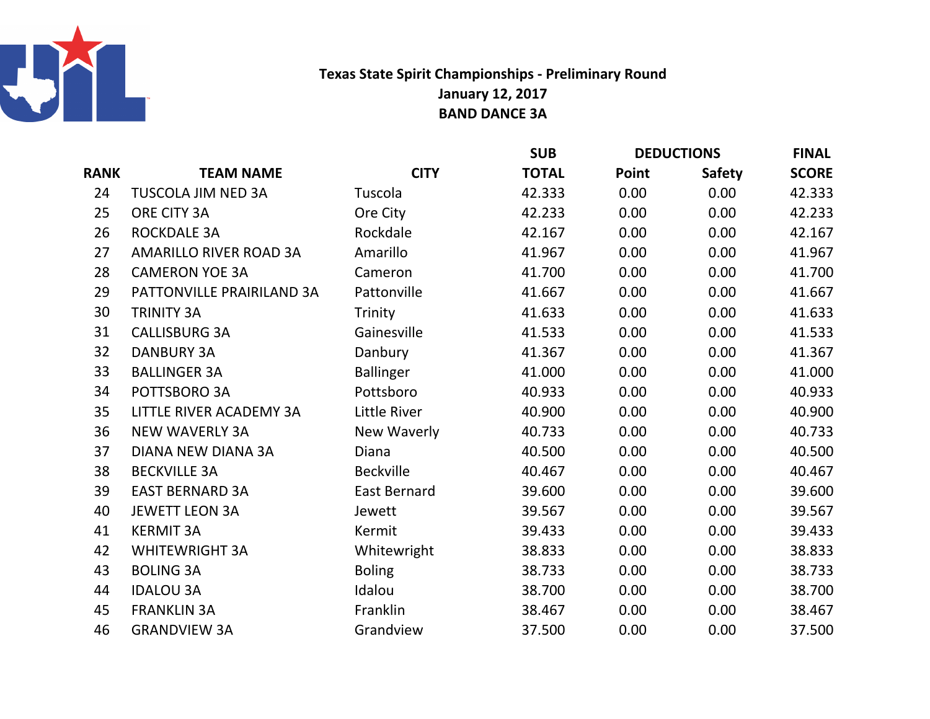

## Texas State Spirit Championships - Preliminary RoundJanuary 12, 2017BAND DANCE 3A

|             |                               |                     | <b>SUB</b>   | <b>DEDUCTIONS</b> |               | <b>FINAL</b> |
|-------------|-------------------------------|---------------------|--------------|-------------------|---------------|--------------|
| <b>RANK</b> | <b>TEAM NAME</b>              | <b>CITY</b>         | <b>TOTAL</b> | Point             | <b>Safety</b> | <b>SCORE</b> |
| 24          | TUSCOLA JIM NED 3A            | Tuscola             | 42.333       | 0.00              | 0.00          | 42.333       |
| 25          | ORE CITY 3A                   | Ore City            | 42.233       | 0.00              | 0.00          | 42.233       |
| 26          | <b>ROCKDALE 3A</b>            | Rockdale            | 42.167       | 0.00              | 0.00          | 42.167       |
| 27          | <b>AMARILLO RIVER ROAD 3A</b> | Amarillo            | 41.967       | 0.00              | 0.00          | 41.967       |
| 28          | <b>CAMERON YOE 3A</b>         | Cameron             | 41.700       | 0.00              | 0.00          | 41.700       |
| 29          | PATTONVILLE PRAIRILAND 3A     | Pattonville         | 41.667       | 0.00              | 0.00          | 41.667       |
| 30          | <b>TRINITY 3A</b>             | Trinity             | 41.633       | 0.00              | 0.00          | 41.633       |
| 31          | <b>CALLISBURG 3A</b>          | Gainesville         | 41.533       | 0.00              | 0.00          | 41.533       |
| 32          | <b>DANBURY 3A</b>             | Danbury             | 41.367       | 0.00              | 0.00          | 41.367       |
| 33          | <b>BALLINGER 3A</b>           | <b>Ballinger</b>    | 41.000       | 0.00              | 0.00          | 41.000       |
| 34          | POTTSBORO 3A                  | Pottsboro           | 40.933       | 0.00              | 0.00          | 40.933       |
| 35          | LITTLE RIVER ACADEMY 3A       | Little River        | 40.900       | 0.00              | 0.00          | 40.900       |
| 36          | <b>NEW WAVERLY 3A</b>         | New Waverly         | 40.733       | 0.00              | 0.00          | 40.733       |
| 37          | <b>DIANA NEW DIANA 3A</b>     | Diana               | 40.500       | 0.00              | 0.00          | 40.500       |
| 38          | <b>BECKVILLE 3A</b>           | <b>Beckville</b>    | 40.467       | 0.00              | 0.00          | 40.467       |
| 39          | <b>EAST BERNARD 3A</b>        | <b>East Bernard</b> | 39.600       | 0.00              | 0.00          | 39.600       |
| 40          | <b>JEWETT LEON 3A</b>         | Jewett              | 39.567       | 0.00              | 0.00          | 39.567       |
| 41          | <b>KERMIT 3A</b>              | Kermit              | 39.433       | 0.00              | 0.00          | 39.433       |
| 42          | <b>WHITEWRIGHT 3A</b>         | Whitewright         | 38.833       | 0.00              | 0.00          | 38.833       |
| 43          | <b>BOLING 3A</b>              | <b>Boling</b>       | 38.733       | 0.00              | 0.00          | 38.733       |
| 44          | <b>IDALOU 3A</b>              | Idalou              | 38.700       | 0.00              | 0.00          | 38.700       |
| 45          | <b>FRANKLIN 3A</b>            | Franklin            | 38.467       | 0.00              | 0.00          | 38.467       |
| 46          | <b>GRANDVIEW 3A</b>           | Grandview           | 37.500       | 0.00              | 0.00          | 37.500       |
|             |                               |                     |              |                   |               |              |